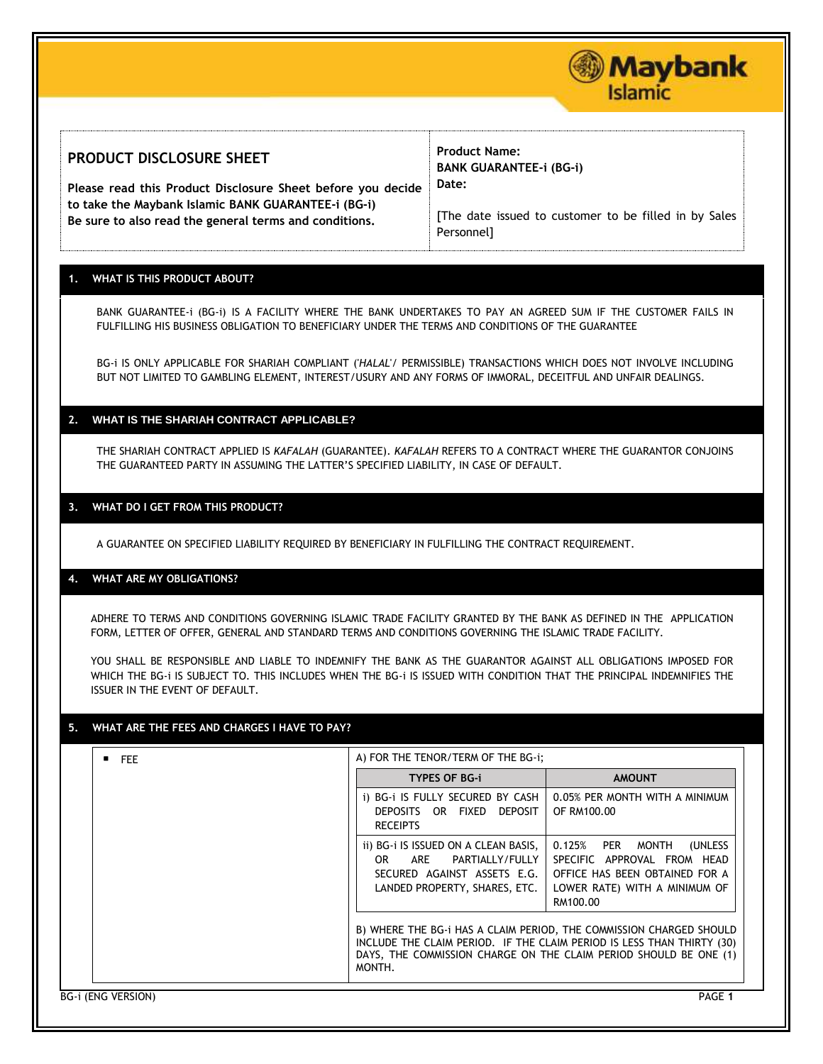

#### **PRODUCT DISCLOSURE SHEET Please read this Product Disclosure Sheet before you decide to take the Maybank Islamic BANK GUARANTEE-i (BG-i) Be sure to also read the general terms and conditions. Product Name: BANK GUARANTEE-i (BG-i) Date:**  [The date issued to customer to be filled in by Sales Personnel]

## **1. WHAT IS THIS PRODUCT ABOUT?**

BANK GUARANTEE-i (BG-i) IS A FACILITY WHERE THE BANK UNDERTAKES TO PAY AN AGREED SUM IF THE CUSTOMER FAILS IN FULFILLING HIS BUSINESS OBLIGATION TO BENEFICIARY UNDER THE TERMS AND CONDITIONS OF THE GUARANTEE

BG-i IS ONLY APPLICABLE FOR SHARIAH COMPLIANT ('*HALAL*'/ PERMISSIBLE) TRANSACTIONS WHICH DOES NOT INVOLVE INCLUDING BUT NOT LIMITED TO GAMBLING ELEMENT, INTEREST/USURY AND ANY FORMS OF IMMORAL, DECEITFUL AND UNFAIR DEALINGS.

### **2. WHAT IS THE SHARIAH CONTRACT APPLICABLE?**

THE SHARIAH CONTRACT APPLIED IS *KAFALAH* (GUARANTEE). *KAFALAH* REFERS TO A CONTRACT WHERE THE GUARANTOR CONJOINS THE GUARANTEED PARTY IN ASSUMING THE LATTER'S SPECIFIED LIABILITY, IN CASE OF DEFAULT.

### **3. WHAT DO I GET FROM THIS PRODUCT?**

A GUARANTEE ON SPECIFIED LIABILITY REQUIRED BY BENEFICIARY IN FULFILLING THE CONTRACT REQUIREMENT.

### **4. WHAT ARE MY OBLIGATIONS?**

ADHERE TO TERMS AND CONDITIONS GOVERNING ISLAMIC TRADE FACILITY GRANTED BY THE BANK AS DEFINED IN THE APPLICATION FORM, LETTER OF OFFER, GENERAL AND STANDARD TERMS AND CONDITIONS GOVERNING THE ISLAMIC TRADE FACILITY.

YOU SHALL BE RESPONSIBLE AND LIABLE TO INDEMNIFY THE BANK AS THE GUARANTOR AGAINST ALL OBLIGATIONS IMPOSED FOR WHICH THE BG-i IS SUBJECT TO. THIS INCLUDES WHEN THE BG-i IS ISSUED WITH CONDITION THAT THE PRINCIPAL INDEMNIFIES THE ISSUER IN THE EVENT OF DEFAULT.

### **5. WHAT ARE THE FEES AND CHARGES I HAVE TO PAY?**

# $\parallel$  A) FOR THE TENOR/TERM OF THE BG-i;

| .                  |                                                                                                                                                                                                                              |                                                                                                                                           |
|--------------------|------------------------------------------------------------------------------------------------------------------------------------------------------------------------------------------------------------------------------|-------------------------------------------------------------------------------------------------------------------------------------------|
|                    | <b>TYPES OF BG-i</b>                                                                                                                                                                                                         | <b>AMOUNT</b>                                                                                                                             |
|                    | i) BG-i IS FULLY SECURED BY CASH<br>DEPOSITS OR FIXED DEPOSIT<br><b>RECEIPTS</b>                                                                                                                                             | 0.05% PER MONTH WITH A MINIMUM<br>OF RM100.00                                                                                             |
|                    | ii) BG-i IS ISSUED ON A CLEAN BASIS,<br>ARE PARTIALLY/FULLY<br>OR.<br>SECURED AGAINST ASSETS E.G. I<br>LANDED PROPERTY, SHARES, ETC.                                                                                         | 0.125% PER MONTH<br>(UNLESS<br>SPECIFIC APPROVAL FROM HEAD<br>OFFICE HAS BEEN OBTAINED FOR A<br>LOWER RATE) WITH A MINIMUM OF<br>RM100.00 |
|                    | B) WHERE THE BG-I HAS A CLAIM PERIOD, THE COMMISSION CHARGED SHOULD<br>INCLUDE THE CLAIM PERIOD. IF THE CLAIM PERIOD IS LESS THAN THIRTY (30)<br>DAYS, THE COMMISSION CHARGE ON THE CLAIM PERIOD SHOULD BE ONE (1)<br>MONTH. |                                                                                                                                           |
| BG-i (ENG VERSION) |                                                                                                                                                                                                                              | PAGE 1                                                                                                                                    |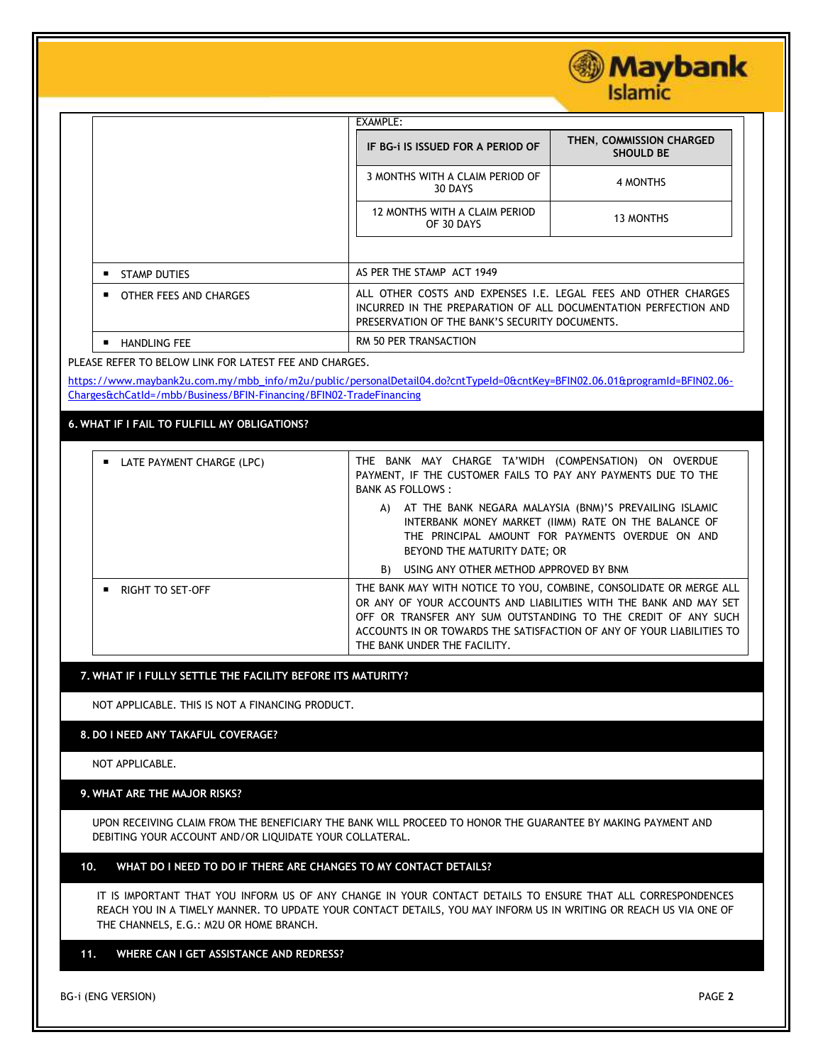**Islamic** EXAMPLE: **IF BG-i IS ISSUED FOR A PERIOD OF THEN**, **COMMISSION CHARGED SHOULD BE** 3 MONTHS WITH A CLAIM PERIOD OF TH A CLAIM PERIOD OF 4 MONTHS 12 MONTHS WITH A CLAIM PERIOD OF 30 DAYS 13 MONTHS ■ STAMP DUTIES AS PER THE STAMP ACT 1949 ■ OTHER FEES AND CHARGES ALL OTHER COSTS AND EXPENSES I.E. LEGAL FEES AND OTHER CHARGES INCURRED IN THE PREPARATION OF ALL DOCUMENTATION PERFECTION AND PRESERVATION OF THE BANK'S SECURITY DOCUMENTS. ■ HANDLING FEE RM 50 PER TRANSACTION

PLEASE REFER TO BELOW LINK FOR LATEST FEE AND CHARGES.

[https://www.maybank2u.com.my/mbb\\_info/m2u/public/personalDetail04.do?cntTypeId=0&cntKey=BFIN02.06.01&programId=BFIN02.06-](https://www.maybank2u.com.my/mbb_info/m2u/public/personalDetail04.do?cntTypeId=0&cntKey=BFIN02.06.01&programId=BFIN02.06-Charges&chCatId=/mbb/Business/BFIN-Financing/BFIN02-TradeFinancing) [Charges&chCatId=/mbb/Business/BFIN-Financing/BFIN02-TradeFinancing](https://www.maybank2u.com.my/mbb_info/m2u/public/personalDetail04.do?cntTypeId=0&cntKey=BFIN02.06.01&programId=BFIN02.06-Charges&chCatId=/mbb/Business/BFIN-Financing/BFIN02-TradeFinancing)

**6. WHAT IF I FAIL TO FULFILL MY OBLIGATIONS?**

| ■ LATE PAYMENT CHARGE (LPC) | THE BANK MAY CHARGE TA'WIDH (COMPENSATION) ON OVERDUE<br>PAYMENT, IF THE CUSTOMER FAILS TO PAY ANY PAYMENTS DUE TO THE<br><b>BANK AS FOLLOWS:</b>                                                                                                                                                                 |
|-----------------------------|-------------------------------------------------------------------------------------------------------------------------------------------------------------------------------------------------------------------------------------------------------------------------------------------------------------------|
|                             | A) AT THE BANK NEGARA MALAYSIA (BNM)'S PREVAILING ISLAMIC<br>INTERBANK MONEY MARKET (IIMM) RATE ON THE BALANCE OF<br>THE PRINCIPAL AMOUNT FOR PAYMENTS OVERDUE ON AND<br>BEYOND THE MATURITY DATE; OR                                                                                                             |
|                             | B) USING ANY OTHER METHOD APPROVED BY BNM                                                                                                                                                                                                                                                                         |
| RIGHT TO SET-OFF            | THE BANK MAY WITH NOTICE TO YOU, COMBINE, CONSOLIDATE OR MERGE ALL<br>OR ANY OF YOUR ACCOUNTS AND LIABILITIES WITH THE BANK AND MAY SET<br>OFF OR TRANSFER ANY SUM OUTSTANDING TO THE CREDIT OF ANY SUCH<br>ACCOUNTS IN OR TOWARDS THE SATISFACTION OF ANY OF YOUR LIABILITIES TO<br>THE BANK UNDER THE FACILITY. |

### **7. WHAT IF I FULLY SETTLE THE FACILITY BEFORE ITS MATURITY?**

NOT APPLICABLE. THIS IS NOT A FINANCING PRODUCT.

### **8. DO I NEED ANY TAKAFUL COVERAGE?**

NOT APPLICABLE.

### **9. WHAT ARE THE MAJOR RISKS?**

UPON RECEIVING CLAIM FROM THE BENEFICIARY THE BANK WILL PROCEED TO HONOR THE GUARANTEE BY MAKING PAYMENT AND DEBITING YOUR ACCOUNT AND/OR LIQUIDATE YOUR COLLATERAL.

# **10. WHAT DO I NEED TO DO IF THERE ARE CHANGES TO MY CONTACT DETAILS?**

IT IS IMPORTANT THAT YOU INFORM US OF ANY CHANGE IN YOUR CONTACT DETAILS TO ENSURE THAT ALL CORRESPONDENCES REACH YOU IN A TIMELY MANNER. TO UPDATE YOUR CONTACT DETAILS, YOU MAY INFORM US IN WRITING OR REACH US VIA ONE OF THE CHANNELS, E.G.: M2U OR HOME BRANCH.

# **11. WHERE CAN I GET ASSISTANCE AND REDRESS?**

BG*-*i (ENG VERSION) PAGE **2**

Maybank